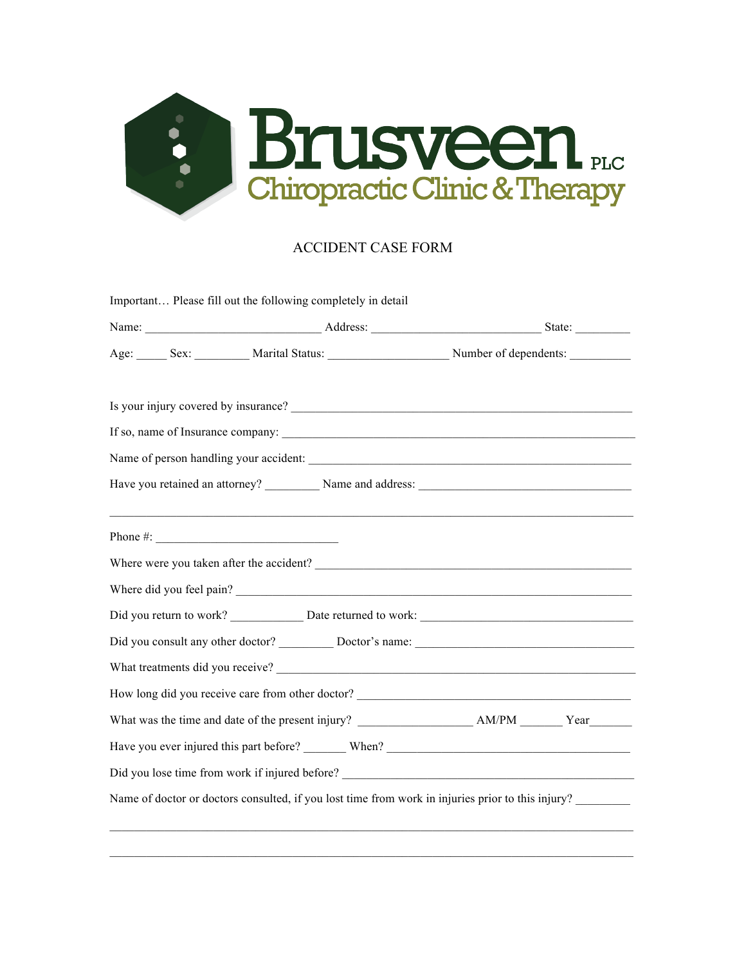

## ACCIDENT CASE FORM

|                                                                                                                                                                                                                                                                                                                    | Age: Sex: Sex: Marital Status: Number of dependents:                                              |  |
|--------------------------------------------------------------------------------------------------------------------------------------------------------------------------------------------------------------------------------------------------------------------------------------------------------------------|---------------------------------------------------------------------------------------------------|--|
|                                                                                                                                                                                                                                                                                                                    |                                                                                                   |  |
|                                                                                                                                                                                                                                                                                                                    |                                                                                                   |  |
|                                                                                                                                                                                                                                                                                                                    | Name of person handling your accident:                                                            |  |
|                                                                                                                                                                                                                                                                                                                    |                                                                                                   |  |
| Phone #: $\frac{1}{2}$ $\frac{1}{2}$ $\frac{1}{2}$ $\frac{1}{2}$ $\frac{1}{2}$ $\frac{1}{2}$ $\frac{1}{2}$ $\frac{1}{2}$ $\frac{1}{2}$ $\frac{1}{2}$ $\frac{1}{2}$ $\frac{1}{2}$ $\frac{1}{2}$ $\frac{1}{2}$ $\frac{1}{2}$ $\frac{1}{2}$ $\frac{1}{2}$ $\frac{1}{2}$ $\frac{1}{2}$ $\frac{1}{2}$ $\frac{1}{2}$ $\$ | ,我们也不能在这里的时候,我们也不能在这里的时候,我们也不能会在这里的时候,我们也不能会在这里的时候,我们也不能会在这里的时候,我们也不能会在这里的时候,我们也                  |  |
|                                                                                                                                                                                                                                                                                                                    |                                                                                                   |  |
|                                                                                                                                                                                                                                                                                                                    | Where did you feel pain?                                                                          |  |
|                                                                                                                                                                                                                                                                                                                    |                                                                                                   |  |
|                                                                                                                                                                                                                                                                                                                    |                                                                                                   |  |
|                                                                                                                                                                                                                                                                                                                    |                                                                                                   |  |
|                                                                                                                                                                                                                                                                                                                    | How long did you receive care from other doctor? ________________________________                 |  |
|                                                                                                                                                                                                                                                                                                                    |                                                                                                   |  |
|                                                                                                                                                                                                                                                                                                                    |                                                                                                   |  |
|                                                                                                                                                                                                                                                                                                                    | Did you lose time from work if injured before?<br><u> </u>                                        |  |
|                                                                                                                                                                                                                                                                                                                    | Name of doctor or doctors consulted, if you lost time from work in injuries prior to this injury? |  |

 $\_$  , and the state of the state of the state of the state of the state of the state of the state of the state of the state of the state of the state of the state of the state of the state of the state of the state of the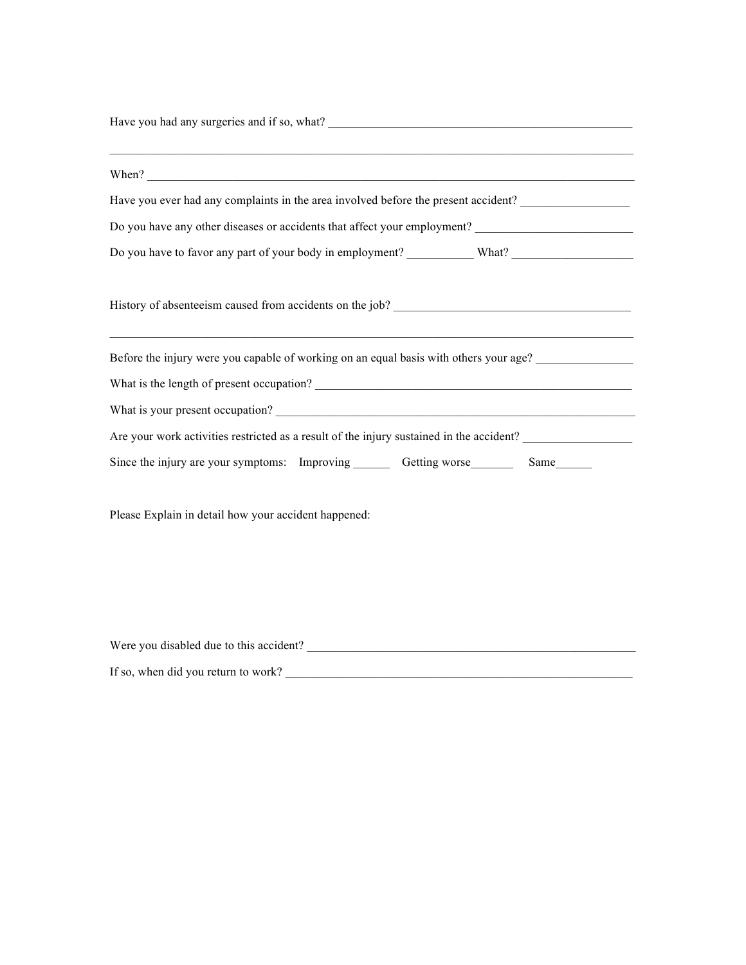| <u> 1989 - Johann Harry Harry Harry Harry Harry Harry Harry Harry Harry Harry Harry Harry Harry Harry Harry Harry</u><br>When? $\frac{1}{2}$ when $\frac{1}{2}$ and $\frac{1}{2}$ and $\frac{1}{2}$ and $\frac{1}{2}$ and $\frac{1}{2}$ and $\frac{1}{2}$ and $\frac{1}{2}$ and $\frac{1}{2}$ and $\frac{1}{2}$ and $\frac{1}{2}$ and $\frac{1}{2}$ and $\frac{1}{2}$ and $\frac{1}{2}$ and $\frac{1}{2}$ and $\frac{$ |  |  |  |
|------------------------------------------------------------------------------------------------------------------------------------------------------------------------------------------------------------------------------------------------------------------------------------------------------------------------------------------------------------------------------------------------------------------------|--|--|--|
| Have you ever had any complaints in the area involved before the present accident?                                                                                                                                                                                                                                                                                                                                     |  |  |  |
|                                                                                                                                                                                                                                                                                                                                                                                                                        |  |  |  |
|                                                                                                                                                                                                                                                                                                                                                                                                                        |  |  |  |
|                                                                                                                                                                                                                                                                                                                                                                                                                        |  |  |  |
| Before the injury were you capable of working on an equal basis with others your age?                                                                                                                                                                                                                                                                                                                                  |  |  |  |
|                                                                                                                                                                                                                                                                                                                                                                                                                        |  |  |  |
|                                                                                                                                                                                                                                                                                                                                                                                                                        |  |  |  |
| Are your work activities restricted as a result of the injury sustained in the accident?                                                                                                                                                                                                                                                                                                                               |  |  |  |
| Since the injury are your symptoms: Improving _________ Getting worse __________ Same________                                                                                                                                                                                                                                                                                                                          |  |  |  |
| Please Explain in detail how your accident happened:                                                                                                                                                                                                                                                                                                                                                                   |  |  |  |
|                                                                                                                                                                                                                                                                                                                                                                                                                        |  |  |  |
|                                                                                                                                                                                                                                                                                                                                                                                                                        |  |  |  |
| Were you disabled due to this accident?                                                                                                                                                                                                                                                                                                                                                                                |  |  |  |

If so, when did you return to work? \_\_\_\_\_\_\_\_\_\_\_\_\_\_\_\_\_\_\_\_\_\_\_\_\_\_\_\_\_\_\_\_\_\_\_\_\_\_\_\_\_\_\_\_\_\_\_\_\_\_\_\_\_\_\_\_\_